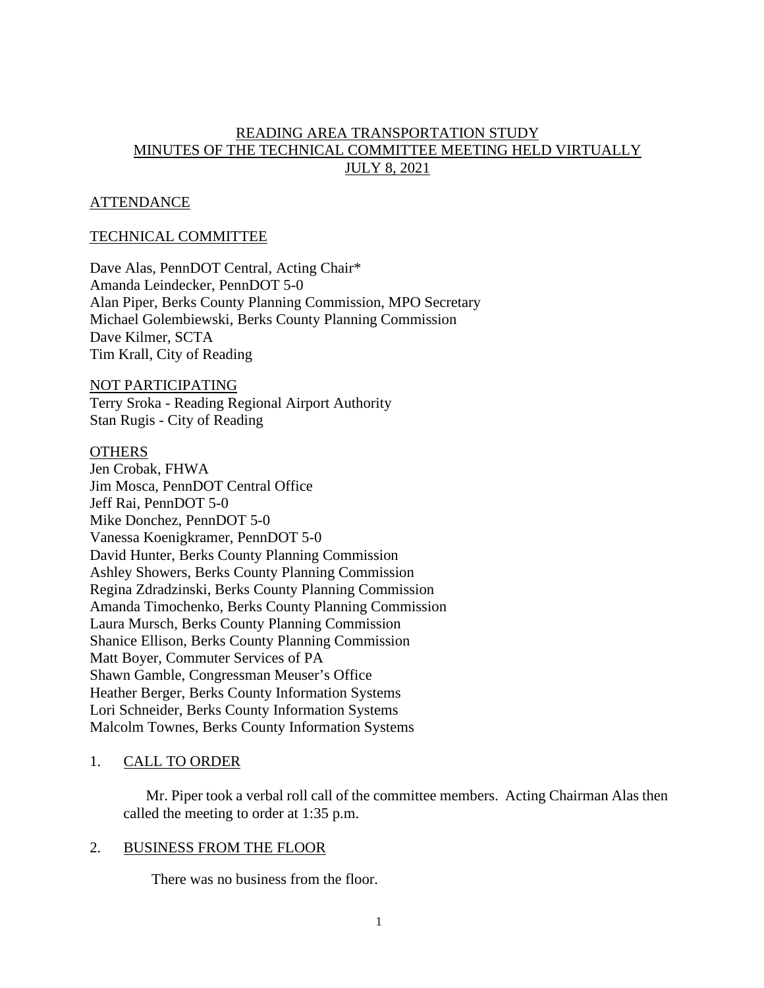# READING AREA TRANSPORTATION STUDY MINUTES OF THE TECHNICAL COMMITTEE MEETING HELD VIRTUALLY JULY 8, 2021

# ATTENDANCE

# TECHNICAL COMMITTEE

Dave Alas, PennDOT Central, Acting Chair\* Amanda Leindecker, PennDOT 5-0 Alan Piper, Berks County Planning Commission, MPO Secretary Michael Golembiewski, Berks County Planning Commission Dave Kilmer, SCTA Tim Krall, City of Reading

#### NOT PARTICIPATING

Terry Sroka - Reading Regional Airport Authority Stan Rugis - City of Reading

#### **OTHERS**

Jen Crobak, FHWA Jim Mosca, PennDOT Central Office Jeff Rai, PennDOT 5-0 Mike Donchez, PennDOT 5-0 Vanessa Koenigkramer, PennDOT 5-0 David Hunter, Berks County Planning Commission Ashley Showers, Berks County Planning Commission Regina Zdradzinski, Berks County Planning Commission Amanda Timochenko, Berks County Planning Commission Laura Mursch, Berks County Planning Commission Shanice Ellison, Berks County Planning Commission Matt Boyer, Commuter Services of PA Shawn Gamble, Congressman Meuser's Office Heather Berger, Berks County Information Systems Lori Schneider, Berks County Information Systems Malcolm Townes, Berks County Information Systems

# 1. CALL TO ORDER

Mr. Piper took a verbal roll call of the committee members. Acting Chairman Alas then called the meeting to order at 1:35 p.m.

#### 2. BUSINESS FROM THE FLOOR

There was no business from the floor.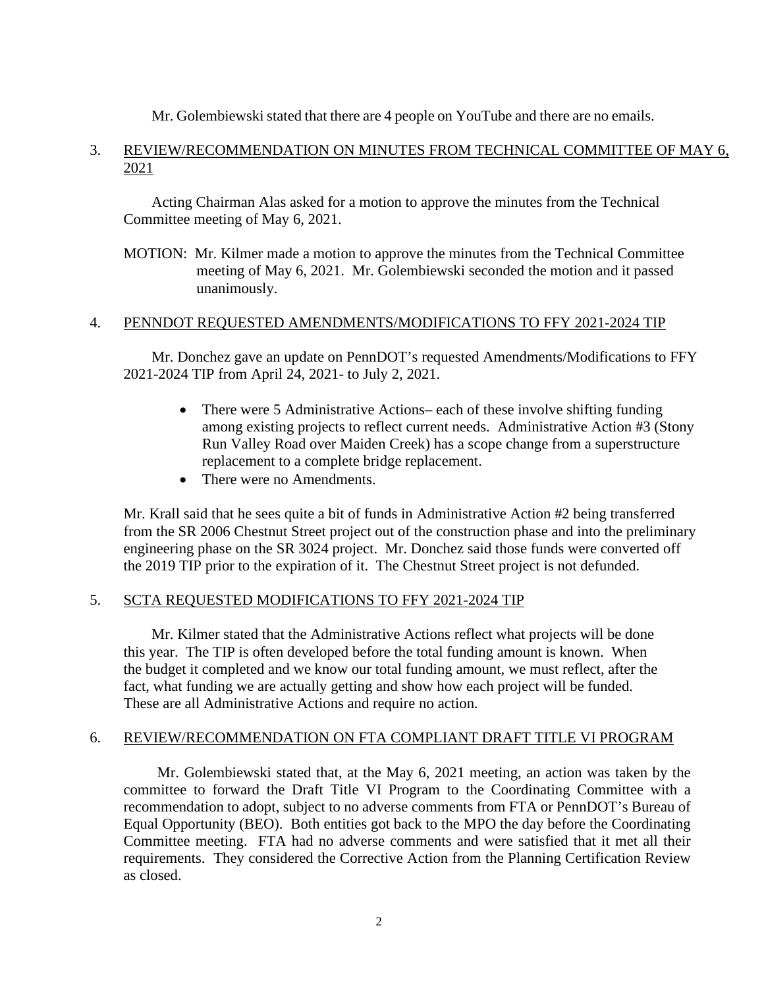Mr. Golembiewski stated that there are 4 people on YouTube and there are no emails.

# 3. REVIEW/RECOMMENDATION ON MINUTES FROM TECHNICAL COMMITTEE OF MAY 6, 2021

 Acting Chairman Alas asked for a motion to approve the minutes from the Technical Committee meeting of May 6, 2021.

MOTION: Mr. Kilmer made a motion to approve the minutes from the Technical Committee meeting of May 6, 2021. Mr. Golembiewski seconded the motion and it passed unanimously.

# 4. PENNDOT REQUESTED AMENDMENTS/MODIFICATIONS TO FFY 2021-2024 TIP

Mr. Donchez gave an update on PennDOT's requested Amendments/Modifications to FFY 2021-2024 TIP from April 24, 2021- to July 2, 2021.

- There were 5 Administrative Actions– each of these involve shifting funding among existing projects to reflect current needs. Administrative Action #3 (Stony Run Valley Road over Maiden Creek) has a scope change from a superstructure replacement to a complete bridge replacement.
- There were no Amendments.

Mr. Krall said that he sees quite a bit of funds in Administrative Action #2 being transferred from the SR 2006 Chestnut Street project out of the construction phase and into the preliminary engineering phase on the SR 3024 project. Mr. Donchez said those funds were converted off the 2019 TIP prior to the expiration of it. The Chestnut Street project is not defunded.

# 5. SCTA REQUESTED MODIFICATIONS TO FFY 2021-2024 TIP

Mr. Kilmer stated that the Administrative Actions reflect what projects will be done this year. The TIP is often developed before the total funding amount is known. When the budget it completed and we know our total funding amount, we must reflect, after the fact, what funding we are actually getting and show how each project will be funded. These are all Administrative Actions and require no action.

# 6. REVIEW/RECOMMENDATION ON FTA COMPLIANT DRAFT TITLE VI PROGRAM

Mr. Golembiewski stated that, at the May 6, 2021 meeting, an action was taken by the committee to forward the Draft Title VI Program to the Coordinating Committee with a recommendation to adopt, subject to no adverse comments from FTA or PennDOT's Bureau of Equal Opportunity (BEO). Both entities got back to the MPO the day before the Coordinating Committee meeting. FTA had no adverse comments and were satisfied that it met all their requirements. They considered the Corrective Action from the Planning Certification Review as closed.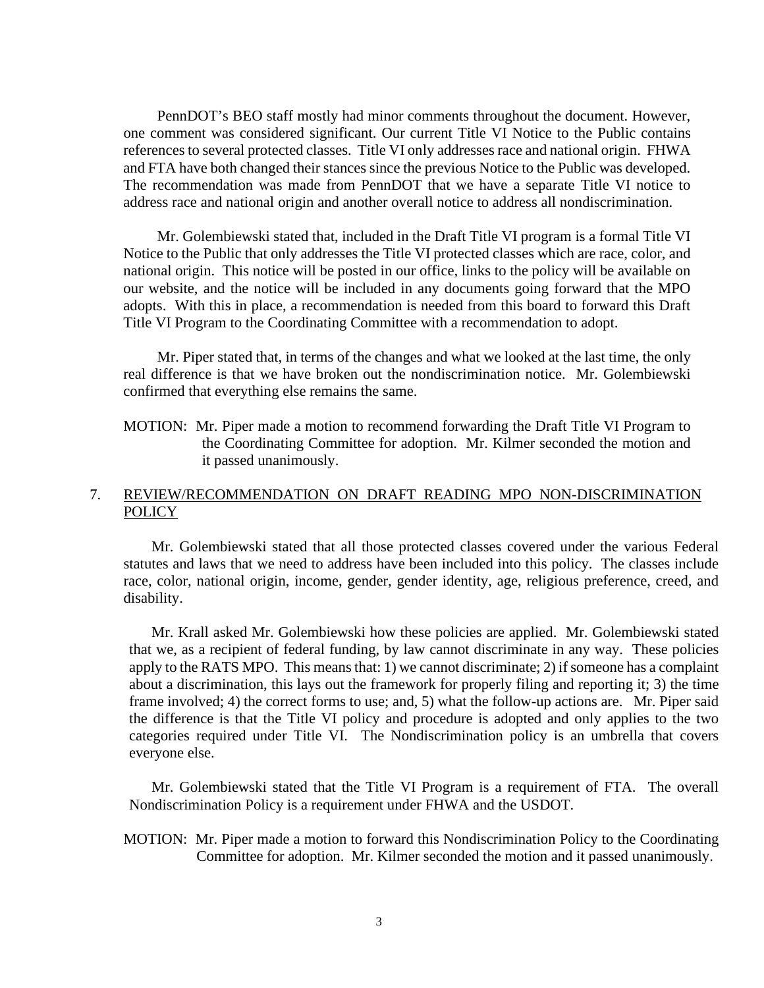PennDOT's BEO staff mostly had minor comments throughout the document. However, one comment was considered significant. Our current Title VI Notice to the Public contains references to several protected classes. Title VI only addresses race and national origin. FHWA and FTA have both changed their stances since the previous Notice to the Public was developed. The recommendation was made from PennDOT that we have a separate Title VI notice to address race and national origin and another overall notice to address all nondiscrimination.

Mr. Golembiewski stated that, included in the Draft Title VI program is a formal Title VI Notice to the Public that only addresses the Title VI protected classes which are race, color, and national origin. This notice will be posted in our office, links to the policy will be available on our website, and the notice will be included in any documents going forward that the MPO adopts. With this in place, a recommendation is needed from this board to forward this Draft Title VI Program to the Coordinating Committee with a recommendation to adopt.

Mr. Piper stated that, in terms of the changes and what we looked at the last time, the only real difference is that we have broken out the nondiscrimination notice. Mr. Golembiewski confirmed that everything else remains the same.

MOTION: Mr. Piper made a motion to recommend forwarding the Draft Title VI Program to the Coordinating Committee for adoption. Mr. Kilmer seconded the motion and it passed unanimously.

# 7. REVIEW/RECOMMENDATION ON DRAFT READING MPO NON-DISCRIMINATION **POLICY**

Mr. Golembiewski stated that all those protected classes covered under the various Federal statutes and laws that we need to address have been included into this policy. The classes include race, color, national origin, income, gender, gender identity, age, religious preference, creed, and disability.

Mr. Krall asked Mr. Golembiewski how these policies are applied. Mr. Golembiewski stated that we, as a recipient of federal funding, by law cannot discriminate in any way. These policies apply to the RATS MPO. This means that: 1) we cannot discriminate; 2) if someone has a complaint about a discrimination, this lays out the framework for properly filing and reporting it; 3) the time frame involved; 4) the correct forms to use; and, 5) what the follow-up actions are. Mr. Piper said the difference is that the Title VI policy and procedure is adopted and only applies to the two categories required under Title VI. The Nondiscrimination policy is an umbrella that covers everyone else.

Mr. Golembiewski stated that the Title VI Program is a requirement of FTA. The overall Nondiscrimination Policy is a requirement under FHWA and the USDOT.

MOTION: Mr. Piper made a motion to forward this Nondiscrimination Policy to the Coordinating Committee for adoption. Mr. Kilmer seconded the motion and it passed unanimously.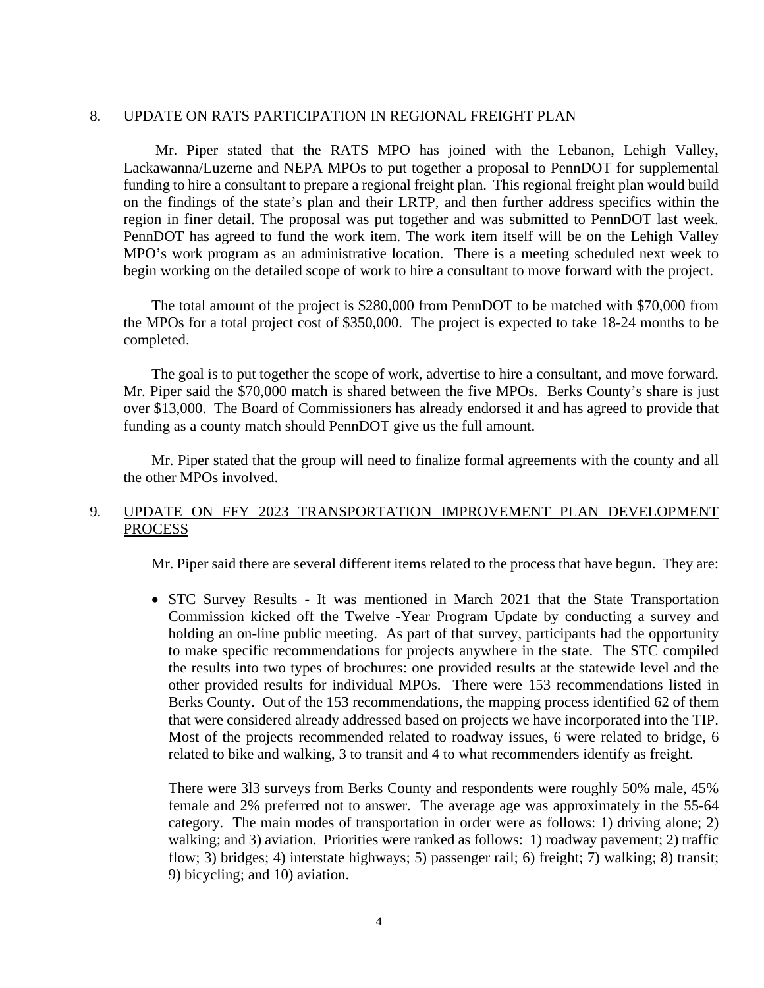#### 8. UPDATE ON RATS PARTICIPATION IN REGIONAL FREIGHT PLAN

 Mr. Piper stated that the RATS MPO has joined with the Lebanon, Lehigh Valley, Lackawanna/Luzerne and NEPA MPOs to put together a proposal to PennDOT for supplemental funding to hire a consultant to prepare a regional freight plan. This regional freight plan would build on the findings of the state's plan and their LRTP, and then further address specifics within the region in finer detail. The proposal was put together and was submitted to PennDOT last week. PennDOT has agreed to fund the work item. The work item itself will be on the Lehigh Valley MPO's work program as an administrative location. There is a meeting scheduled next week to begin working on the detailed scope of work to hire a consultant to move forward with the project.

The total amount of the project is \$280,000 from PennDOT to be matched with \$70,000 from the MPOs for a total project cost of \$350,000. The project is expected to take 18-24 months to be completed.

The goal is to put together the scope of work, advertise to hire a consultant, and move forward. Mr. Piper said the \$70,000 match is shared between the five MPOs. Berks County's share is just over \$13,000. The Board of Commissioners has already endorsed it and has agreed to provide that funding as a county match should PennDOT give us the full amount.

Mr. Piper stated that the group will need to finalize formal agreements with the county and all the other MPOs involved.

# 9. UPDATE ON FFY 2023 TRANSPORTATION IMPROVEMENT PLAN DEVELOPMENT PROCESS

Mr. Piper said there are several different items related to the process that have begun. They are:

• STC Survey Results - It was mentioned in March 2021 that the State Transportation Commission kicked off the Twelve -Year Program Update by conducting a survey and holding an on-line public meeting. As part of that survey, participants had the opportunity to make specific recommendations for projects anywhere in the state. The STC compiled the results into two types of brochures: one provided results at the statewide level and the other provided results for individual MPOs. There were 153 recommendations listed in Berks County. Out of the 153 recommendations, the mapping process identified 62 of them that were considered already addressed based on projects we have incorporated into the TIP. Most of the projects recommended related to roadway issues, 6 were related to bridge, 6 related to bike and walking, 3 to transit and 4 to what recommenders identify as freight.

There were 3l3 surveys from Berks County and respondents were roughly 50% male, 45% female and 2% preferred not to answer. The average age was approximately in the 55-64 category. The main modes of transportation in order were as follows: 1) driving alone; 2) walking; and 3) aviation. Priorities were ranked as follows: 1) roadway pavement; 2) traffic flow; 3) bridges; 4) interstate highways; 5) passenger rail; 6) freight; 7) walking; 8) transit; 9) bicycling; and 10) aviation.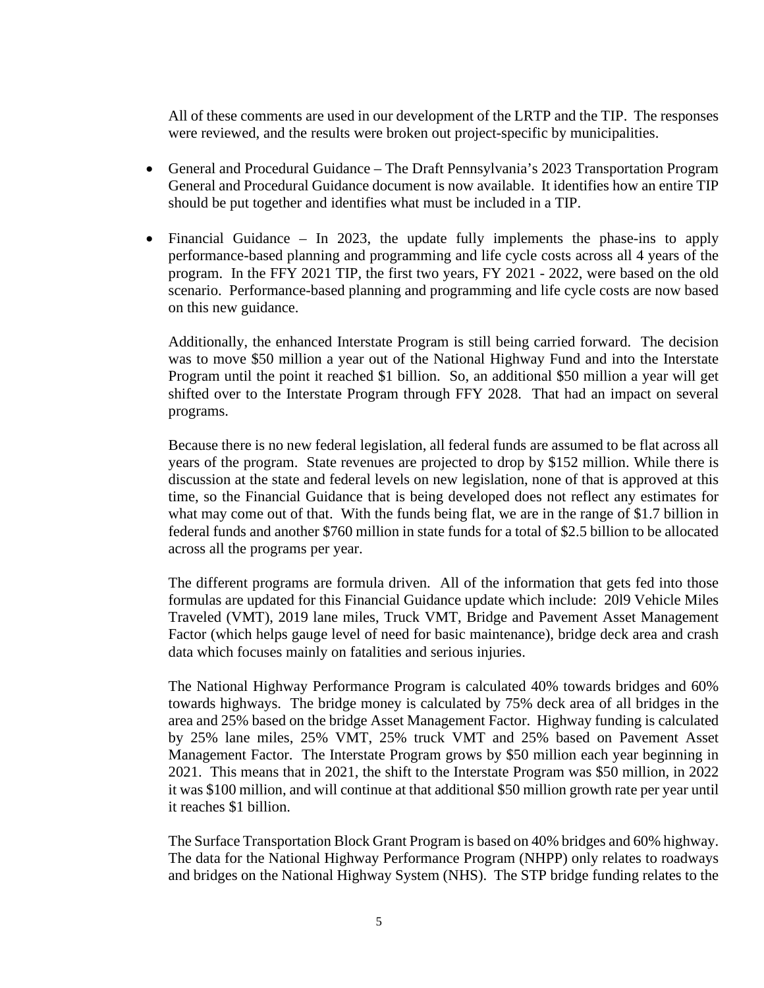All of these comments are used in our development of the LRTP and the TIP. The responses were reviewed, and the results were broken out project-specific by municipalities.

- General and Procedural Guidance The Draft Pennsylvania's 2023 Transportation Program General and Procedural Guidance document is now available. It identifies how an entire TIP should be put together and identifies what must be included in a TIP.
- Financial Guidance In 2023, the update fully implements the phase-ins to apply performance-based planning and programming and life cycle costs across all 4 years of the program. In the FFY 2021 TIP, the first two years, FY 2021 - 2022, were based on the old scenario. Performance-based planning and programming and life cycle costs are now based on this new guidance.

Additionally, the enhanced Interstate Program is still being carried forward. The decision was to move \$50 million a year out of the National Highway Fund and into the Interstate Program until the point it reached \$1 billion. So, an additional \$50 million a year will get shifted over to the Interstate Program through FFY 2028. That had an impact on several programs.

Because there is no new federal legislation, all federal funds are assumed to be flat across all years of the program. State revenues are projected to drop by \$152 million. While there is discussion at the state and federal levels on new legislation, none of that is approved at this time, so the Financial Guidance that is being developed does not reflect any estimates for what may come out of that. With the funds being flat, we are in the range of \$1.7 billion in federal funds and another \$760 million in state funds for a total of \$2.5 billion to be allocated across all the programs per year.

The different programs are formula driven. All of the information that gets fed into those formulas are updated for this Financial Guidance update which include: 20l9 Vehicle Miles Traveled (VMT), 2019 lane miles, Truck VMT, Bridge and Pavement Asset Management Factor (which helps gauge level of need for basic maintenance), bridge deck area and crash data which focuses mainly on fatalities and serious injuries.

The National Highway Performance Program is calculated 40% towards bridges and 60% towards highways. The bridge money is calculated by 75% deck area of all bridges in the area and 25% based on the bridge Asset Management Factor. Highway funding is calculated by 25% lane miles, 25% VMT, 25% truck VMT and 25% based on Pavement Asset Management Factor. The Interstate Program grows by \$50 million each year beginning in 2021. This means that in 2021, the shift to the Interstate Program was \$50 million, in 2022 it was \$100 million, and will continue at that additional \$50 million growth rate per year until it reaches \$1 billion.

The Surface Transportation Block Grant Program is based on 40% bridges and 60% highway. The data for the National Highway Performance Program (NHPP) only relates to roadways and bridges on the National Highway System (NHS). The STP bridge funding relates to the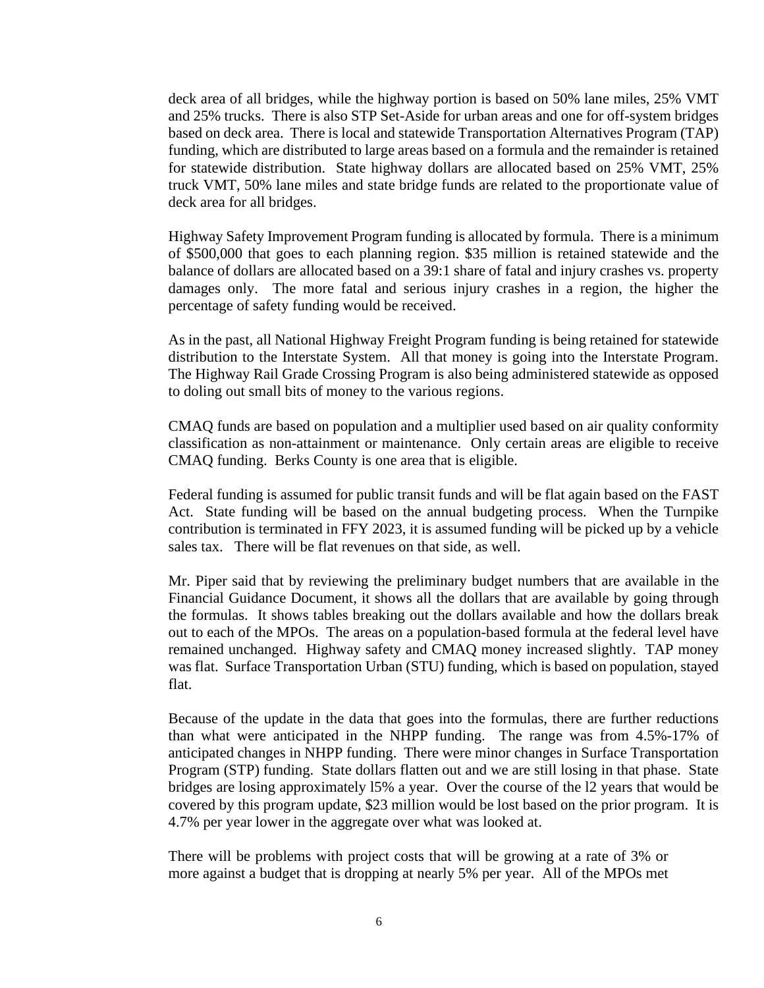deck area of all bridges, while the highway portion is based on 50% lane miles, 25% VMT and 25% trucks. There is also STP Set-Aside for urban areas and one for off-system bridges based on deck area. There is local and statewide Transportation Alternatives Program (TAP) funding, which are distributed to large areas based on a formula and the remainder is retained for statewide distribution. State highway dollars are allocated based on 25% VMT, 25% truck VMT, 50% lane miles and state bridge funds are related to the proportionate value of deck area for all bridges.

Highway Safety Improvement Program funding is allocated by formula. There is a minimum of \$500,000 that goes to each planning region. \$35 million is retained statewide and the balance of dollars are allocated based on a 39:1 share of fatal and injury crashes vs. property damages only. The more fatal and serious injury crashes in a region, the higher the percentage of safety funding would be received.

As in the past, all National Highway Freight Program funding is being retained for statewide distribution to the Interstate System. All that money is going into the Interstate Program. The Highway Rail Grade Crossing Program is also being administered statewide as opposed to doling out small bits of money to the various regions.

CMAQ funds are based on population and a multiplier used based on air quality conformity classification as non-attainment or maintenance. Only certain areas are eligible to receive CMAQ funding. Berks County is one area that is eligible.

Federal funding is assumed for public transit funds and will be flat again based on the FAST Act. State funding will be based on the annual budgeting process. When the Turnpike contribution is terminated in FFY 2023, it is assumed funding will be picked up by a vehicle sales tax. There will be flat revenues on that side, as well.

Mr. Piper said that by reviewing the preliminary budget numbers that are available in the Financial Guidance Document, it shows all the dollars that are available by going through the formulas. It shows tables breaking out the dollars available and how the dollars break out to each of the MPOs. The areas on a population-based formula at the federal level have remained unchanged. Highway safety and CMAQ money increased slightly. TAP money was flat. Surface Transportation Urban (STU) funding, which is based on population, stayed flat.

Because of the update in the data that goes into the formulas, there are further reductions than what were anticipated in the NHPP funding. The range was from 4.5%-17% of anticipated changes in NHPP funding. There were minor changes in Surface Transportation Program (STP) funding. State dollars flatten out and we are still losing in that phase. State bridges are losing approximately l5% a year. Over the course of the l2 years that would be covered by this program update, \$23 million would be lost based on the prior program. It is 4.7% per year lower in the aggregate over what was looked at.

There will be problems with project costs that will be growing at a rate of 3% or more against a budget that is dropping at nearly 5% per year. All of the MPOs met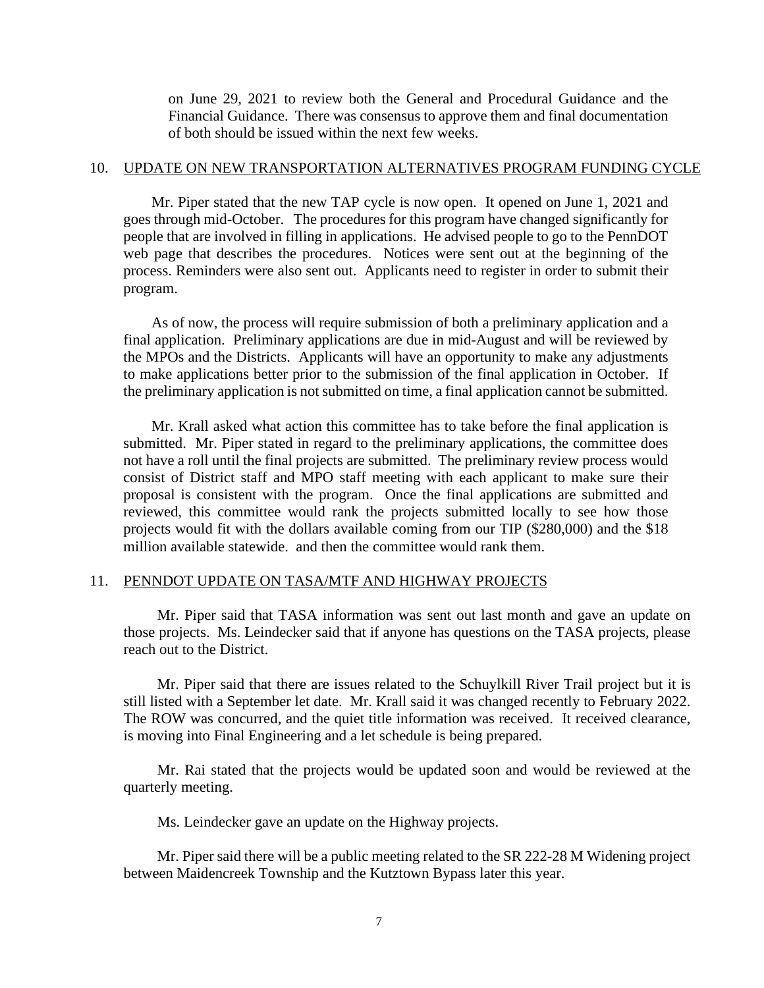on June 29, 2021 to review both the General and Procedural Guidance and the Financial Guidance. There was consensus to approve them and final documentation of both should be issued within the next few weeks.

#### 10. UPDATE ON NEW TRANSPORTATION ALTERNATIVES PROGRAM FUNDING CYCLE

Mr. Piper stated that the new TAP cycle is now open. It opened on June 1, 2021 and goes through mid-October. The procedures for this program have changed significantly for people that are involved in filling in applications. He advised people to go to the PennDOT web page that describes the procedures. Notices were sent out at the beginning of the process. Reminders were also sent out. Applicants need to register in order to submit their program.

 As of now, the process will require submission of both a preliminary application and a final application. Preliminary applications are due in mid-August and will be reviewed by the MPOs and the Districts. Applicants will have an opportunity to make any adjustments to make applications better prior to the submission of the final application in October. If the preliminary application is not submitted on time, a final application cannot be submitted.

Mr. Krall asked what action this committee has to take before the final application is submitted. Mr. Piper stated in regard to the preliminary applications, the committee does not have a roll until the final projects are submitted. The preliminary review process would consist of District staff and MPO staff meeting with each applicant to make sure their proposal is consistent with the program. Once the final applications are submitted and reviewed, this committee would rank the projects submitted locally to see how those projects would fit with the dollars available coming from our TIP (\$280,000) and the \$18 million available statewide. and then the committee would rank them.

#### 11. PENNDOT UPDATE ON TASA/MTF AND HIGHWAY PROJECTS

Mr. Piper said that TASA information was sent out last month and gave an update on those projects. Ms. Leindecker said that if anyone has questions on the TASA projects, please reach out to the District.

Mr. Piper said that there are issues related to the Schuylkill River Trail project but it is still listed with a September let date. Mr. Krall said it was changed recently to February 2022. The ROW was concurred, and the quiet title information was received. It received clearance, is moving into Final Engineering and a let schedule is being prepared.

Mr. Rai stated that the projects would be updated soon and would be reviewed at the quarterly meeting.

Ms. Leindecker gave an update on the Highway projects.

Mr. Piper said there will be a public meeting related to the SR 222-28 M Widening project between Maidencreek Township and the Kutztown Bypass later this year.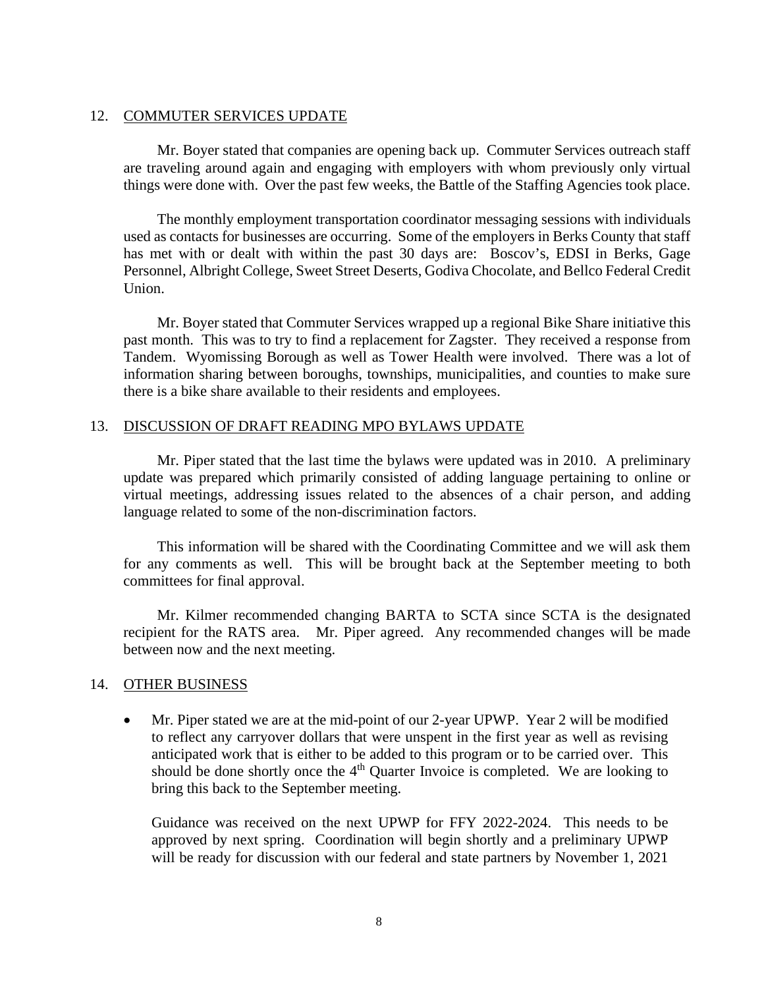#### 12. COMMUTER SERVICES UPDATE

Mr. Boyer stated that companies are opening back up. Commuter Services outreach staff are traveling around again and engaging with employers with whom previously only virtual things were done with. Over the past few weeks, the Battle of the Staffing Agencies took place.

The monthly employment transportation coordinator messaging sessions with individuals used as contacts for businesses are occurring. Some of the employers in Berks County that staff has met with or dealt with within the past 30 days are: Boscov's, EDSI in Berks, Gage Personnel, Albright College, Sweet Street Deserts, Godiva Chocolate, and Bellco Federal Credit Union.

Mr. Boyer stated that Commuter Services wrapped up a regional Bike Share initiative this past month. This was to try to find a replacement for Zagster. They received a response from Tandem. Wyomissing Borough as well as Tower Health were involved. There was a lot of information sharing between boroughs, townships, municipalities, and counties to make sure there is a bike share available to their residents and employees.

#### 13. DISCUSSION OF DRAFT READING MPO BYLAWS UPDATE

Mr. Piper stated that the last time the bylaws were updated was in 2010. A preliminary update was prepared which primarily consisted of adding language pertaining to online or virtual meetings, addressing issues related to the absences of a chair person, and adding language related to some of the non-discrimination factors.

This information will be shared with the Coordinating Committee and we will ask them for any comments as well. This will be brought back at the September meeting to both committees for final approval.

Mr. Kilmer recommended changing BARTA to SCTA since SCTA is the designated recipient for the RATS area. Mr. Piper agreed. Any recommended changes will be made between now and the next meeting.

# 14. OTHER BUSINESS

• Mr. Piper stated we are at the mid-point of our 2-year UPWP. Year 2 will be modified to reflect any carryover dollars that were unspent in the first year as well as revising anticipated work that is either to be added to this program or to be carried over. This should be done shortly once the  $4<sup>th</sup>$  Quarter Invoice is completed. We are looking to bring this back to the September meeting.

Guidance was received on the next UPWP for FFY 2022-2024. This needs to be approved by next spring. Coordination will begin shortly and a preliminary UPWP will be ready for discussion with our federal and state partners by November 1, 2021